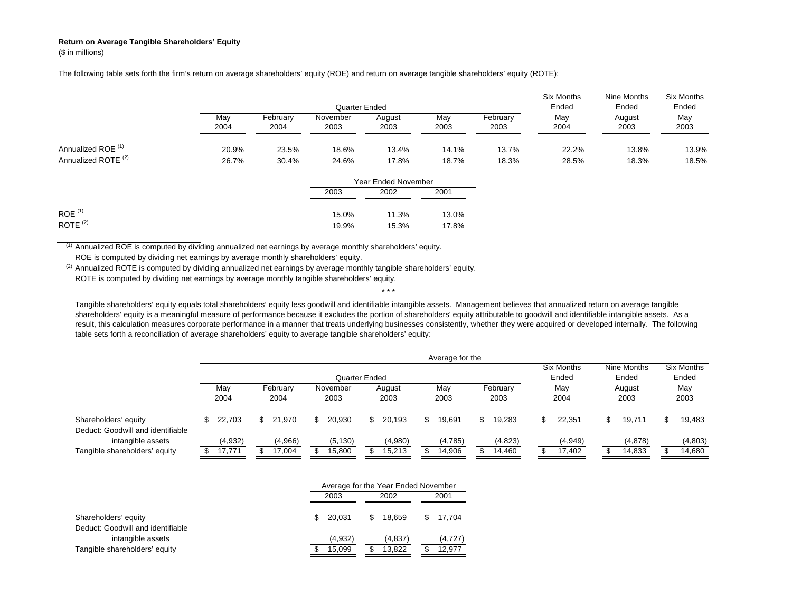## **Return on Average Tangible Shareholders' Equity**

(\$ in millions)

The following table sets forth the firm's return on average shareholders' equity (ROE) and return on average tangible shareholders' equity (ROTE):

|                                |       |          | Quarter Ended |        |       | <b>Six Months</b><br>Ended | Nine Months<br>Ended | <b>Six Months</b><br>Ended |       |
|--------------------------------|-------|----------|---------------|--------|-------|----------------------------|----------------------|----------------------------|-------|
|                                | May   | February | November      | August | May   | February                   | May                  | August                     | May   |
|                                | 2004  | 2004     | 2003          | 2003   | 2003  | 2003                       | 2004                 | 2003                       | 2003  |
| Annualized ROE <sup>(1)</sup>  | 20.9% | 23.5%    | 18.6%         | 13.4%  | 14.1% | 13.7%                      | 22.2%                | 13.8%                      | 13.9% |
| Annualized ROTE <sup>(2)</sup> | 26.7% | 30.4%    | 24.6%         | 17.8%  | 18.7% | 18.3%                      | 28.5%                | 18.3%                      | 18.5% |

|                      |       | Year Ended November |       |  |  |  |  |  |  |
|----------------------|-------|---------------------|-------|--|--|--|--|--|--|
|                      | 2003  | 2002                | 2001  |  |  |  |  |  |  |
| $ROE$ <sup>(1)</sup> | 15.0% | 11.3%               | 13.0% |  |  |  |  |  |  |
| ROTE $(2)$           | 19.9% | 15.3%               | 17.8% |  |  |  |  |  |  |

(1) Annualized ROE is computed by dividing annualized net earnings by average monthly shareholders' equity.

ROE is computed by dividing net earnings by average monthly shareholders' equity.

 $(2)$  Annualized ROTE is computed by dividing annualized net earnings by average monthly tangible shareholders' equity.

ROTE is computed by dividing net earnings by average monthly tangible shareholders' equity.

Tangible shareholders' equity equals total shareholders' equity less goodwill and identifiable intangible assets. Management believes that annualized return on average tangible shareholders' equity is a meaningful measure of performance because it excludes the portion of shareholders' equity attributable to goodwill and identifiable intangible assets. As a result, this calculation measures corporate performance in a manner that treats underlying businesses consistently, whether they were acquired or developed internally. The following table sets forth a reconciliation of average shareholders' equity to average tangible shareholders' equity:

\* \* \*

|                                                           |             | Average for the   |                  |                   |                  |                    |                |                   |             |                   |                  |                   |                                    |                   |                                        |                   |             |                            |
|-----------------------------------------------------------|-------------|-------------------|------------------|-------------------|------------------|--------------------|----------------|-------------------|-------------|-------------------|------------------|-------------------|------------------------------------|-------------------|----------------------------------------|-------------------|-------------|----------------------------|
|                                                           |             |                   |                  |                   |                  | Quarter Ended      |                |                   |             |                   |                  |                   | Six Months<br>Ended<br>May<br>2004 |                   | Nine Months<br>Ended<br>August<br>2003 |                   |             | <b>Six Months</b><br>Ended |
|                                                           | May<br>2004 |                   | February<br>2004 |                   | November<br>2003 |                    | August<br>2003 |                   | May<br>2003 |                   | February<br>2003 |                   |                                    |                   |                                        |                   | May<br>2003 |                            |
| Shareholders' equity<br>Deduct: Goodwill and identifiable |             | 22.703            | \$               | 21.970            |                  | 20.930             | S.             | 20.193            |             | 19.691            | SS.              | 19.283            |                                    | 22.351            |                                        | 19.711            |             | 19,483                     |
| intangible assets<br>Tangible shareholders' equity        |             | (4,932)<br>17,771 |                  | (4,966)<br>17,004 |                  | (5, 130)<br>15,800 |                | (4,980)<br>15,213 |             | (4,785)<br>14,906 |                  | (4,823)<br>14,460 |                                    | (4,949)<br>17,402 |                                        | (4,878)<br>14,833 |             | (4,803)<br>14,680          |
|                                                           |             |                   |                  |                   |                  |                    |                |                   |             |                   |                  |                   |                                    |                   |                                        |                   |             |                            |

|                                   |      | Average for the Year Ended November |   |         |     |          |  |  |  |  |  |
|-----------------------------------|------|-------------------------------------|---|---------|-----|----------|--|--|--|--|--|
|                                   | 2003 |                                     |   | 2002    |     | 2001     |  |  |  |  |  |
| Shareholders' equity              | £.   | 20.031                              | S | 18.659  | \$. | 17.704   |  |  |  |  |  |
| Deduct: Goodwill and identifiable |      |                                     |   |         |     |          |  |  |  |  |  |
| intangible assets                 |      | (4.932)                             |   | (4.837) |     | (4, 727) |  |  |  |  |  |
| Tangible shareholders' equity     |      | 15.099                              | S | 13.822  |     | 12.977   |  |  |  |  |  |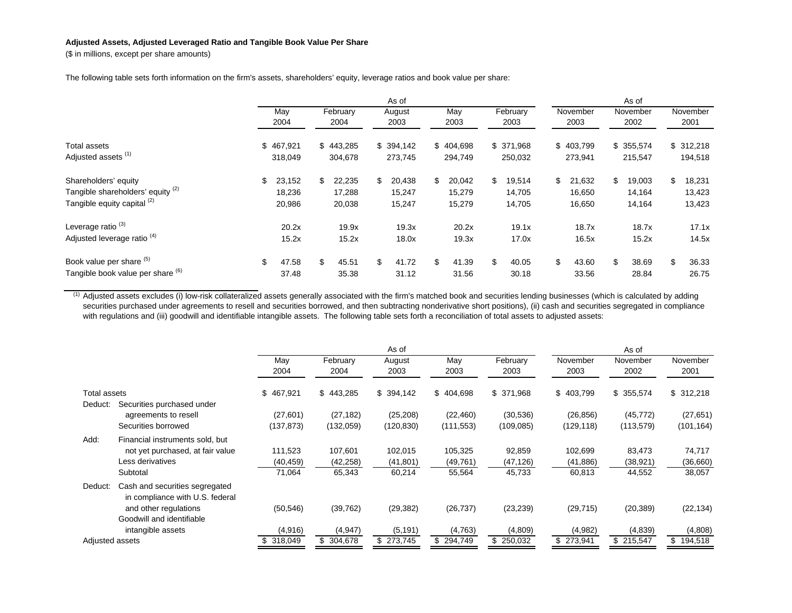## **Adjusted Assets, Adjusted Leveraged Ratio and Tangible Book Value Per Share**

(\$ in millions, except per share amounts)

The following table sets forth information on the firm's assets, shareholders' equity, leverage ratios and book value per share:

|                                                                                          |                                  | As of |                            |                                  |                                  |     |                            | As of |                            |    |                            |    |                            |
|------------------------------------------------------------------------------------------|----------------------------------|-------|----------------------------|----------------------------------|----------------------------------|-----|----------------------------|-------|----------------------------|----|----------------------------|----|----------------------------|
|                                                                                          | May<br>2004                      |       | February<br>2004           | August<br>2003                   | May<br>2003                      |     | February<br>2003           |       | November<br>2003           |    | November<br>2002           |    | November<br>2001           |
| Total assets<br>Adjusted assets <sup>(1)</sup>                                           | \$467,921<br>318,049             |       | \$443,285<br>304,678       | \$394,142<br>273,745             | \$404,698<br>294,749             |     | \$ 371,968<br>250,032      |       | \$403,799<br>273,941       |    | \$355,574<br>215,547       |    | \$312,218<br>194,518       |
| Shareholders' equity<br>Tangible shareholders' equity (2)<br>Tangible equity capital (2) | 23,152<br>\$<br>18,236<br>20,986 | \$    | 22,235<br>17,288<br>20,038 | \$<br>20,438<br>15,247<br>15,247 | \$<br>20,042<br>15,279<br>15,279 | \$  | 19,514<br>14,705<br>14,705 | \$    | 21,632<br>16,650<br>16,650 | \$ | 19,003<br>14,164<br>14,164 | \$ | 18,231<br>13,423<br>13,423 |
| Leverage ratio <sup>(3)</sup><br>Adjusted leverage ratio <sup>(4)</sup>                  | 20.2x<br>15.2x                   |       | 19.9x<br>15.2x             | 19.3x<br>18.0x                   | 20.2x<br>19.3x                   |     | 19.1x<br>17.0x             |       | 18.7x<br>16.5x             |    | 18.7x<br>15.2x             |    | 17.1x<br>14.5x             |
| Book value per share (5)<br>Tangible book value per share (6)                            | \$<br>47.58<br>37.48             | \$    | 45.51<br>35.38             | \$<br>41.72<br>31.12             | \$<br>41.39<br>31.56             | \$. | 40.05<br>30.18             | \$    | 43.60<br>33.56             | \$ | 38.69<br>28.84             | \$ | 36.33<br>26.75             |

 $<sup>(1)</sup>$  Adjusted assets excludes (i) low-risk collateralized assets generally associated with the firm's matched book and securities lending businesses (which is calculated by adding</sup> securities purchased under agreements to resell and securities borrowed, and then subtracting nonderivative short positions), (ii) cash and securities segregated in compliance with regulations and (iii) goodwill and identifiable intangible assets. The following table sets forth a reconciliation of total assets to adjusted assets:

|                 |                                                                   |             |                  | As of          |             |                  |                  | As of            |                  |
|-----------------|-------------------------------------------------------------------|-------------|------------------|----------------|-------------|------------------|------------------|------------------|------------------|
|                 |                                                                   | May<br>2004 | February<br>2004 | August<br>2003 | May<br>2003 | February<br>2003 | November<br>2003 | November<br>2002 | November<br>2001 |
| Total assets    |                                                                   | \$467,921   | \$443,285        | \$394,142      | \$404,698   | \$ 371.968       | \$403,799        | \$355,574        | \$312,218        |
| Deduct:         | Securities purchased under                                        |             |                  |                |             |                  |                  |                  |                  |
|                 | agreements to resell                                              | (27,601)    | (27, 182)        | (25, 208)      | (22, 460)   | (30, 536)        | (26, 856)        | (45, 772)        | (27, 651)        |
|                 | Securities borrowed                                               | (137,873)   | (132,059)        | (120, 830)     | (111, 553)  | (109, 085)       | (129, 118)       | (113, 579)       | (101, 164)       |
| Add:            | Financial instruments sold, but                                   |             |                  |                |             |                  |                  |                  |                  |
|                 | not yet purchased, at fair value                                  | 111,523     | 107,601          | 102,015        | 105,325     | 92,859           | 102,699          | 83,473           | 74,717           |
|                 | Less derivatives                                                  | (40, 459)   | (42, 258)        | (41, 801)      | (49, 761)   | (47, 126)        | (41, 886)        | (38, 921)        | (36,660)         |
|                 | Subtotal                                                          | 71,064      | 65,343           | 60,214         | 55,564      | 45,733           | 60,813           | 44,552           | 38,057           |
| Deduct:         | Cash and securities segregated<br>in compliance with U.S. federal |             |                  |                |             |                  |                  |                  |                  |
|                 | and other regulations                                             | (50, 546)   | (39, 762)        | (29, 382)      | (26, 737)   | (23, 239)        | (29, 715)        | (20, 389)        | (22, 134)        |
|                 | Goodwill and identifiable                                         |             |                  |                |             |                  |                  |                  |                  |
|                 | intangible assets                                                 | (4,916)     | (4, 947)         | (5, 191)       | (4,763)     | (4,809)          | (4,982)          | (4,839)          | (4,808)          |
| Adjusted assets |                                                                   | 318,049     | \$304,678        | \$273,745      | \$294,749   | \$250,032        | \$273,941        | \$ 215,547       | \$194,518        |